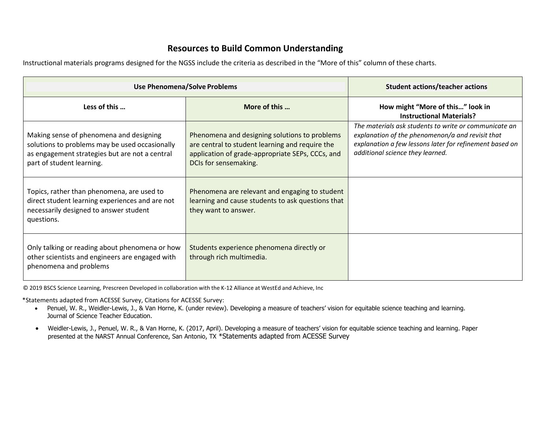## **Resources to Build Common Understanding**

Instructional materials programs designed for the NGSS include the criteria as described in the "More of this" column of these charts.

| <b>Use Phenomena/Solve Problems</b>                                                                                                                                      |                                                                                                                                                                               | <b>Student actions/teacher actions</b>                                                                                                                                                                   |
|--------------------------------------------------------------------------------------------------------------------------------------------------------------------------|-------------------------------------------------------------------------------------------------------------------------------------------------------------------------------|----------------------------------------------------------------------------------------------------------------------------------------------------------------------------------------------------------|
| Less of this                                                                                                                                                             | More of this                                                                                                                                                                  | How might "More of this" look in<br><b>Instructional Materials?</b>                                                                                                                                      |
| Making sense of phenomena and designing<br>solutions to problems may be used occasionally<br>as engagement strategies but are not a central<br>part of student learning. | Phenomena and designing solutions to problems<br>are central to student learning and require the<br>application of grade-appropriate SEPs, CCCs, and<br>DCIs for sensemaking. | The materials ask students to write or communicate an<br>explanation of the phenomenon/a and revisit that<br>explanation a few lessons later for refinement based on<br>additional science they learned. |
| Topics, rather than phenomena, are used to<br>direct student learning experiences and are not<br>necessarily designed to answer student<br>questions.                    | Phenomena are relevant and engaging to student<br>learning and cause students to ask questions that<br>they want to answer.                                                   |                                                                                                                                                                                                          |
| Only talking or reading about phenomena or how<br>other scientists and engineers are engaged with<br>phenomena and problems                                              | Students experience phenomena directly or<br>through rich multimedia.                                                                                                         |                                                                                                                                                                                                          |

© 2019 BSCS Science Learning, Prescreen Developed in collaboration with the K-12 Alliance at WestEd and Achieve, Inc

\*Statements adapted from ACESSE Survey, Citations for ACESSE Survey:

- Penuel, W. R., Weidler-Lewis, J., & Van Horne, K. (under review). Developing a measure of teachers' vision for equitable science teaching and learning. Journal of Science Teacher Education.
- Weidler-Lewis, J., Penuel, W. R., & Van Horne, K. (2017, April). Developing a measure of teachers' vision for equitable science teaching and learning. Paper presented at the NARST Annual Conference, San Antonio, TX \*Statements adapted from ACESSE Survey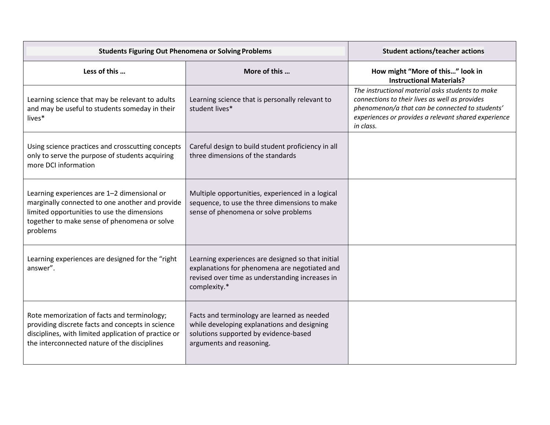| <b>Students Figuring Out Phenomena or Solving Problems</b>                                                                                                                                                |                                                                                                                                                                       | <b>Student actions/teacher actions</b>                                                                                                                                                                                     |
|-----------------------------------------------------------------------------------------------------------------------------------------------------------------------------------------------------------|-----------------------------------------------------------------------------------------------------------------------------------------------------------------------|----------------------------------------------------------------------------------------------------------------------------------------------------------------------------------------------------------------------------|
| Less of this                                                                                                                                                                                              | More of this                                                                                                                                                          | How might "More of this" look in<br><b>Instructional Materials?</b>                                                                                                                                                        |
| Learning science that may be relevant to adults<br>and may be useful to students someday in their<br>lives*                                                                                               | Learning science that is personally relevant to<br>student lives*                                                                                                     | The instructional material asks students to make<br>connections to their lives as well as provides<br>phenomenon/a that can be connected to students'<br>experiences or provides a relevant shared experience<br>in class. |
| Using science practices and crosscutting concepts<br>only to serve the purpose of students acquiring<br>more DCI information                                                                              | Careful design to build student proficiency in all<br>three dimensions of the standards                                                                               |                                                                                                                                                                                                                            |
| Learning experiences are 1-2 dimensional or<br>marginally connected to one another and provide<br>limited opportunities to use the dimensions<br>together to make sense of phenomena or solve<br>problems | Multiple opportunities, experienced in a logical<br>sequence, to use the three dimensions to make<br>sense of phenomena or solve problems                             |                                                                                                                                                                                                                            |
| Learning experiences are designed for the "right<br>answer".                                                                                                                                              | Learning experiences are designed so that initial<br>explanations for phenomena are negotiated and<br>revised over time as understanding increases in<br>complexity.* |                                                                                                                                                                                                                            |
| Rote memorization of facts and terminology;<br>providing discrete facts and concepts in science<br>disciplines, with limited application of practice or<br>the interconnected nature of the disciplines   | Facts and terminology are learned as needed<br>while developing explanations and designing<br>solutions supported by evidence-based<br>arguments and reasoning.       |                                                                                                                                                                                                                            |